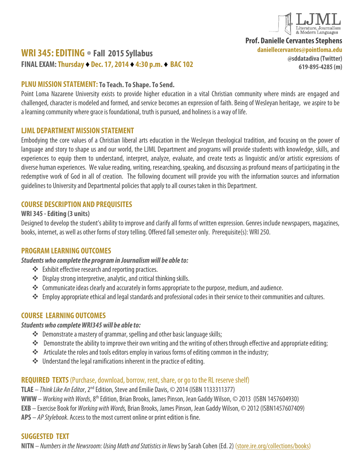

**Prof. Danielle Cervantes Stephens**

**daniellecervantes@pointloma.edu**

# **WRI 345: EDITING • Fall 2015 Syllabus FINAL EXAM:Thursday ♦ Dec. 17, 2014 ♦ 4:30 p.m. ♦ BAC 102**

**@sddatadiva (Twitter) 619-895-4285 (m)**

### **PLNU MISSION STATEMENT: To Teach. To Shape. To Send.**

Point Loma Nazarene University exists to provide higher education in a vital Christian community where minds are engaged and challenged, character is modeled and formed, and service becomes an expression of faith. Being of Wesleyan heritage, we aspire to be a learning community where grace is foundational, truth is pursued, and holiness is a way of life.

### **LJML DEPARTMENT MISSION STATEMENT**

Embodying the core values of a Christian liberal arts education in the Wesleyan theological tradition, and focusing on the power of language and story to shape us and our world, the LJML Department and programs will provide students with knowledge, skills, and experiences to equip them to understand, interpret, analyze, evaluate, and create texts as linguistic and/or artistic expressions of diverse human experiences. We value reading, writing, researching, speaking, and discussing as profound means of participating in the redemptive work of God in all of creation. The following document will provide you with the information sources and information guidelines to University and Departmental policies that apply to all courses taken in this Department.

# **COURSE DESCRIPTION AND PREQUISITES**

### **WRI 345 -Editing (3 units)**

Designed to develop the student's ability to improve and clarify all forms of written expression. Genres include newspapers, magazines, books, internet, as well as other forms of story telling. Offered fall semester only. Prerequisite(s): WRI 250.

# **PROGRAM LEARNING OUTCOMES**

### *Students who complete the program in Journalism will be able to:*

- Exhibit effective research and reporting practices.
- Display strong interpretive, analytic, and critical thinking skills.
- \*\* Communicate ideas clearly and accurately in forms appropriate to the purpose, medium, and audience.
- Employ appropriate ethical and legal standards and professional codes in their service to their communities and cultures.

# **COURSE LEARNING OUTCOMES**

### *Students who complete WRI345 will be able to:*

- Demonstrate a mastery of grammar, spelling and other basic language skills;
- Demonstrate the ability to improve their own writing and the writing of others through effective and appropriate editing;
- \*\* Articulate the roles and tools editors employ in various forms of editing common in the industry;
- $\cdot \cdot$  Understand the legal ramifications inherent in the practice of editing.

# **REQUIRED TEXTS**(Purchase, download, borrow, rent, share, or go to the RL reserve shelf)

**TLAE** – *Think Like An Editor*, 2nd Edition, Steve and Emilie Davis, © 2014(ISBN 1133311377)

**WWW**–*Working with Words*, 8th Edition, Brian Brooks, James Pinson, Jean Gaddy Wilson, © 2013 (ISBN 1457604930)

**EXB** – Exercise Book for *Working with Words,* Brian Brooks, James Pinson, Jean Gaddy Wilson, © 2012 (ISBN1457607409)

**APS** – *AP Stylebook*. Access to the most current online or print edition is fine.

### **SUGGESTED TEXT**

**NITN** – *Numbers in the Newsroom: Using Math and Statistics in News*by Sarah Cohen (Ed. 2) [\(store.ire.org/collections/books\)](http://store.ire.org/collections/books)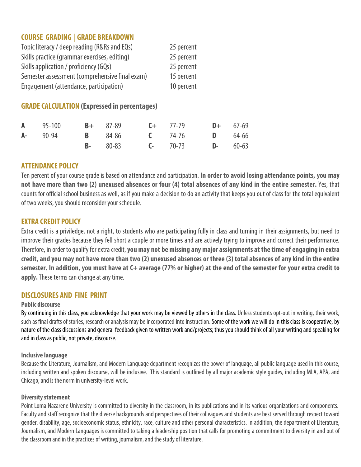# **COURSE GRADING | GRADE BREAKDOWN**

| Topic literacy / deep reading (R&Rs and EQs)   | 25 percent |
|------------------------------------------------|------------|
| Skills practice (grammar exercises, editing)   | 25 percent |
| Skills application / proficiency (GQs)         | 25 percent |
| Semester assessment (comprehensive final exam) | 15 percent |
| Engagement (attendance, participation)         | 10 percent |

# **GRADE CALCULATION (Expressed in percentages)**

|  |  | <b>A</b> 95-100 <b>B</b> + 87-89 <b>C</b> + 77-79 <b>D</b> + 67-69 |  |
|--|--|--------------------------------------------------------------------|--|
|  |  | <b>A</b> - 90-94 <b>B</b> 84-86 <b>C</b> 74-76 <b>D</b> 64-66      |  |
|  |  | <b>B</b> - 80-83 <b>C</b> - 70-73 <b>D</b> - 60-63                 |  |

# **ATTENDANCE POLICY**

Ten percent of your course grade is based on attendance and participation. **In order to avoid losing attendance points, you may not have more than two (2) unexused absences or four (4) total absences of any kind in the entire semester.** Yes, that counts for official school business as well, as if you make a decision to do an activity that keeps you out of class for the total equivalent of two weeks, you should reconsider your schedule.

### **EXTRA CREDIT POLICY**

Extra credit is a priviledge, not a right, to students who are participating fully in class and turning in their assignments, but need to improve their grades because they fell short a couple or more times and are actively trying to improve and correct their performance. Therefore, in order to qualify for extra credit, **you may not be missing any major assignments at the time of engaging in extra credit, and you may not have more than two (2) unexused absences or three (3) total absences of any kind in the entire semester. In addition, you must have at C+ average (77% or higher) at the end of the semester for your extra credit to apply.**These terms can change at any time.

# **DISCLOSURES AND FINE PRINT**

#### **Public discourse**

By continuing in this class, you acknowledge that your work may be viewed by others in the class. Unless students opt-out in writing, their work, such as final drafts of stories, research or analysis may be incorporated into instruction. Some of the work we will do in this class is cooperative, by nature of the class discussions and general feedback given to written work and/projects; thus you should think of all your writing and speaking for and in class as public, not private, discourse.

#### **Inclusive language**

Because the Literature, Journalism, and Modern Language department recognizes the power of language, all public language used in this course, including written and spoken discourse, will be inclusive. This standard is outlined by all major academic style guides, including MLA, APA, and Chicago, and is the norm in university-level work.

### **Diversity statement**

Point Loma Nazarene University is committed to diversity in the classroom, in its publications and in its various organizations and components. Faculty and staff recognize that the diverse backgrounds and perspectives of their colleagues and students are best served through respect toward gender, disability, age, socioeconomic status, ethnicity, race, culture and other personal characteristics. In addition, the department of Literature, Journalism, and Modern Languages is committed to taking a leadership position that calls for promoting a commitment to diversity in and out of the classroom and in the practices of writing, journalism, and the study of literature.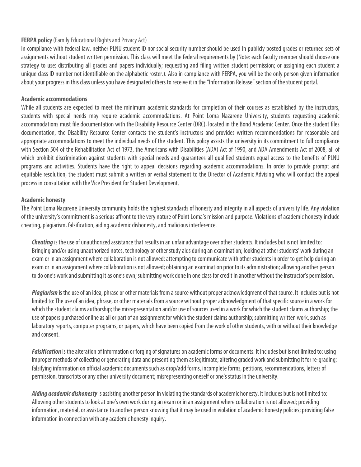#### **FERPA policy** (Family Educational Rights and Privacy Act)

In compliance with federal law, neither PLNU student ID nor social security number should be used in publicly posted grades or returned sets of assignments without student written permission. This class will meet the federal requirements by (Note: each faculty member should choose one strategy to use: distributing all grades and papers individually; requesting and filing written student permission; or assigning each student a unique class ID number not identifiable on the alphabetic roster.). Also in compliance with FERPA, you will be the only person given information about your progress in this class unless you have designated others to receive it in the "Information Release" section of the student portal.

#### **Academic accommodations**

While all students are expected to meet the minimum academic standards for completion of their courses as established by the instructors, students with special needs may require academic accommodations. At Point Loma Nazarene University, students requesting academic accommodations must file documentation with the Disability Resource Center (DRC), located in the Bond Academic Center. Once the student files documentation, the Disability Resource Center contacts the student's instructors and provides written recommendations for reasonable and appropriate accommodations to meet the individual needs of the student. This policy assists the university in its commitment to full compliance with Section 504 of the Rehabilitation Act of 1973, the Americans with Disabilities (ADA) Act of 1990, and ADA Amendments Act of 2008, all of which prohibit discrimination against students with special needs and quarantees all qualified students equal access to the benefits of PLNU programs and activities. Students have the right to appeal decisions regarding academic accommodations. In order to provide prompt and equitable resolution, the student must submit a written or verbal statement to the Director of Academic Advising who will conduct the appeal process in consultation with the Vice President for Student Development.

#### **Academic honesty**

The Point Loma Nazarene University community holds the highest standards of honesty and integrity in all aspects of university life. Any violation of the university's commitment is a serious affront to the very nature of Point Loma's mission and purpose. Violations of academic honesty include cheating, plagiarism, falsification, aiding academic dishonesty, and malicious interference.

*Cheating* is the use of unauthorized assistance that results in an unfair advantage over other students. It includes but is not limited to: Bringing and/or using unauthorized notes, technology or other study aids during an examination; looking at other students' work during an exam or in an assignment where collaboration is not allowed; attempting to communicate with other students in order to get help during an exam or in an assignment where collaboration is not allowed; obtaining an examination prior to its administration; allowing another person to do one's work and submitting it as one's own; submitting work done in one class for credit in another without the instructor's permission.

*Plagiarism*is the use of an idea, phrase or other materials from a source without proper acknowledgment of that source. It includes but is not limited to: The use of an idea, phrase, or other materials from a source without proper acknowledgment of that specific source in a work for which the student claims authorship; the misrepresentation and/or use of sources used in a work for which the student claims authorship; the use of papers purchased online as all or part of an assignment for which the student claims authorship; submitting written work, such as laboratory reports, computer programs, or papers, which have been copied from the work of other students, with or without their knowledge and consent.

*Falsification* is the alteration of information or forging of signatures on academic forms or documents. It includes but is not limited to: using improper methods of collecting or generating data and presenting them as legitimate; altering graded work and submitting it for re-grading; falsifying information on official academic documents such as drop/add forms, incomplete forms, petitions, recommendations, letters of permission, transcripts or any other university document; misrepresenting oneself or one's status in the university.

*Aiding academic dishonesty*is assisting another person in violating the standards of academic honesty. It includes but is not limited to: Allowing other students to look at one's own work during an exam or in an assignment where collaboration is not allowed; providing information, material, or assistance to another person knowing that it may be used in violation of academic honesty policies; providing false information in connection with any academic honesty inquiry.